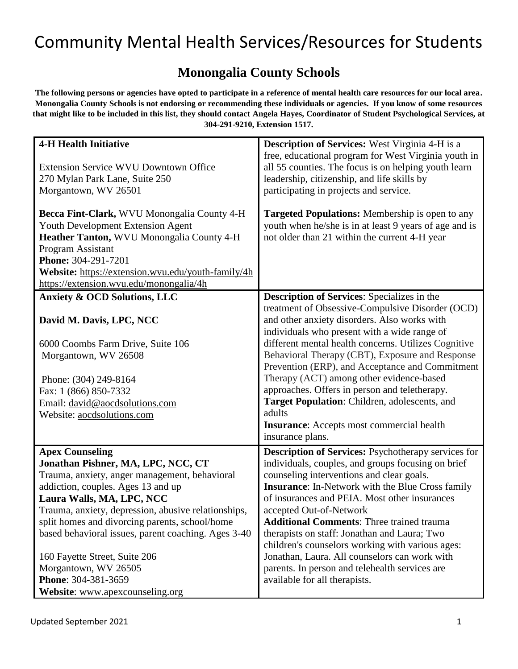#### **Monongalia County Schools**

**The following persons or agencies have opted to participate in a reference of mental health care resources for our local area. Monongalia County Schools is not endorsing or recommending these individuals or agencies. If you know of some resources that might like to be included in this list, they should contact Angela Hayes, Coordinator of Student Psychological Services, at 304-291-9210, Extension 1517.**

| <b>4-H Health Initiative</b>                        | <b>Description of Services:</b> West Virginia 4-H is a     |
|-----------------------------------------------------|------------------------------------------------------------|
|                                                     | free, educational program for West Virginia youth in       |
| <b>Extension Service WVU Downtown Office</b>        | all 55 counties. The focus is on helping youth learn       |
| 270 Mylan Park Lane, Suite 250                      | leadership, citizenship, and life skills by                |
| Morgantown, WV 26501                                | participating in projects and service.                     |
|                                                     |                                                            |
| Becca Fint-Clark, WVU Monongalia County 4-H         | <b>Targeted Populations:</b> Membership is open to any     |
| <b>Youth Development Extension Agent</b>            | youth when he/she is in at least 9 years of age and is     |
| Heather Tanton, WVU Monongalia County 4-H           | not older than 21 within the current 4-H year              |
| Program Assistant                                   |                                                            |
| Phone: 304-291-7201                                 |                                                            |
| Website: https://extension.wvu.edu/youth-family/4h  |                                                            |
| https://extension.wvu.edu/monongalia/4h             |                                                            |
|                                                     |                                                            |
| <b>Anxiety &amp; OCD Solutions, LLC</b>             | <b>Description of Services:</b> Specializes in the         |
|                                                     | treatment of Obsessive-Compulsive Disorder (OCD)           |
| David M. Davis, LPC, NCC                            | and other anxiety disorders. Also works with               |
|                                                     | individuals who present with a wide range of               |
| 6000 Coombs Farm Drive, Suite 106                   | different mental health concerns. Utilizes Cognitive       |
| Morgantown, WV 26508                                | Behavioral Therapy (CBT), Exposure and Response            |
|                                                     | Prevention (ERP), and Acceptance and Commitment            |
| Phone: (304) 249-8164                               | Therapy (ACT) among other evidence-based                   |
| Fax: 1 (866) 850-7332                               | approaches. Offers in person and teletherapy.              |
| Email: david@aocdsolutions.com                      | Target Population: Children, adolescents, and              |
| Website: aocdsolutions.com                          | adults                                                     |
|                                                     | <b>Insurance:</b> Accepts most commercial health           |
|                                                     | insurance plans.                                           |
|                                                     |                                                            |
| <b>Apex Counseling</b>                              | <b>Description of Services:</b> Psychotherapy services for |
| Jonathan Pishner, MA, LPC, NCC, CT                  | individuals, couples, and groups focusing on brief         |
| Trauma, anxiety, anger management, behavioral       | counseling interventions and clear goals.                  |
| addiction, couples. Ages 13 and up                  | <b>Insurance:</b> In-Network with the Blue Cross family    |
| Laura Walls, MA, LPC, NCC                           | of insurances and PEIA. Most other insurances              |
| Trauma, anxiety, depression, abusive relationships, | accepted Out-of-Network                                    |
| split homes and divorcing parents, school/home      | <b>Additional Comments: Three trained trauma</b>           |
| based behavioral issues, parent coaching. Ages 3-40 | therapists on staff: Jonathan and Laura; Two               |
|                                                     | children's counselors working with various ages:           |
| 160 Fayette Street, Suite 206                       | Jonathan, Laura. All counselors can work with              |
| Morgantown, WV 26505                                | parents. In person and telehealth services are             |
| Phone: 304-381-3659                                 | available for all therapists.                              |
| Website: www.apexcounseling.org                     |                                                            |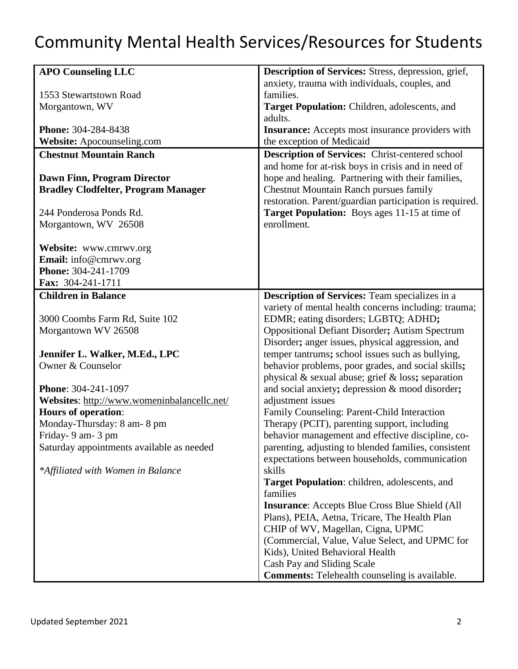| <b>APO Counseling LLC</b>                             | Description of Services: Stress, depression, grief,                                           |
|-------------------------------------------------------|-----------------------------------------------------------------------------------------------|
|                                                       | anxiety, trauma with individuals, couples, and                                                |
| 1553 Stewartstown Road                                | families.                                                                                     |
| Morgantown, WV                                        | Target Population: Children, adolescents, and                                                 |
|                                                       | adults.                                                                                       |
| <b>Phone: 304-284-8438</b>                            | <b>Insurance:</b> Accepts most insurance providers with                                       |
| Website: Apocounseling.com                            | the exception of Medicaid                                                                     |
| <b>Chestnut Mountain Ranch</b>                        | <b>Description of Services:</b> Christ-centered school                                        |
|                                                       | and home for at-risk boys in crisis and in need of                                            |
| <b>Dawn Finn, Program Director</b>                    | hope and healing. Partnering with their families,                                             |
| <b>Bradley Clodfelter, Program Manager</b>            | <b>Chestnut Mountain Ranch pursues family</b>                                                 |
|                                                       | restoration. Parent/guardian participation is required.                                       |
| 244 Ponderosa Ponds Rd.                               | <b>Target Population:</b> Boys ages 11-15 at time of                                          |
| Morgantown, WV 26508                                  | enrollment.                                                                                   |
|                                                       |                                                                                               |
| Website: www.cmrwv.org                                |                                                                                               |
| Email: info@cmrwv.org                                 |                                                                                               |
| Phone: 304-241-1709                                   |                                                                                               |
| Fax: 304-241-1711                                     |                                                                                               |
| <b>Children in Balance</b>                            | Description of Services: Team specializes in a                                                |
|                                                       | variety of mental health concerns including: trauma;                                          |
| 3000 Coombs Farm Rd, Suite 102<br>Morgantown WV 26508 | EDMR; eating disorders; LGBTQ; ADHD;<br><b>Oppositional Defiant Disorder; Autism Spectrum</b> |
|                                                       | Disorder; anger issues, physical aggression, and                                              |
| Jennifer L. Walker, M.Ed., LPC                        | temper tantrums; school issues such as bullying,                                              |
| Owner & Counselor                                     | behavior problems, poor grades, and social skills;                                            |
|                                                       | physical & sexual abuse; grief & loss; separation                                             |
| Phone: 304-241-1097                                   | and social anxiety; depression & mood disorder;                                               |
| Websites: http://www.womeninbalancellc.net/           | adjustment issues                                                                             |
| <b>Hours of operation:</b>                            | Family Counseling: Parent-Child Interaction                                                   |
| Monday-Thursday: 8 am-8 pm                            | Therapy (PCIT), parenting support, including                                                  |
| Friday- 9 am- 3 pm                                    | behavior management and effective discipline, co-                                             |
| Saturday appointments available as needed             | parenting, adjusting to blended families, consistent                                          |
|                                                       | expectations between households, communication                                                |
| *Affiliated with Women in Balance                     | skills                                                                                        |
|                                                       | <b>Target Population:</b> children, adolescents, and                                          |
|                                                       | families                                                                                      |
|                                                       | <b>Insurance:</b> Accepts Blue Cross Blue Shield (All                                         |
|                                                       | Plans), PEIA, Aetna, Tricare, The Health Plan                                                 |
|                                                       | CHIP of WV, Magellan, Cigna, UPMC                                                             |
|                                                       | (Commercial, Value, Value Select, and UPMC for                                                |
|                                                       | Kids), United Behavioral Health                                                               |
|                                                       | Cash Pay and Sliding Scale                                                                    |
|                                                       | <b>Comments:</b> Telehealth counseling is available.                                          |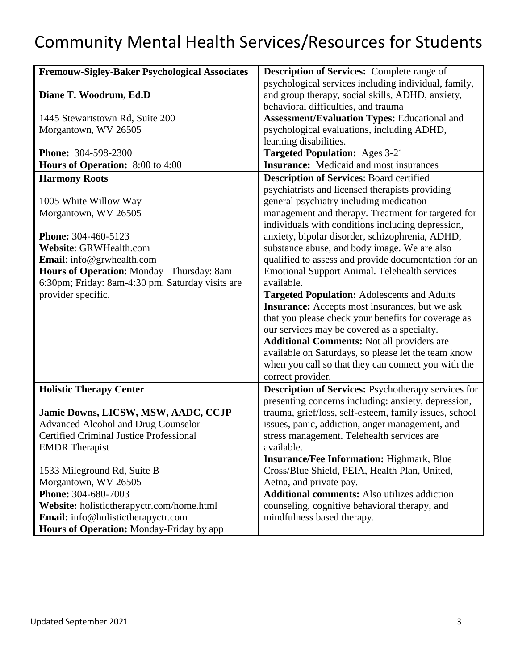| <b>Fremouw-Sigley-Baker Psychological Associates</b> | Description of Services: Complete range of             |
|------------------------------------------------------|--------------------------------------------------------|
|                                                      | psychological services including individual, family,   |
| Diane T. Woodrum, Ed.D                               | and group therapy, social skills, ADHD, anxiety,       |
|                                                      | behavioral difficulties, and trauma                    |
| 1445 Stewartstown Rd, Suite 200                      | <b>Assessment/Evaluation Types: Educational and</b>    |
| Morgantown, WV 26505                                 | psychological evaluations, including ADHD,             |
|                                                      | learning disabilities.                                 |
| <b>Phone: 304-598-2300</b>                           | <b>Targeted Population:</b> Ages 3-21                  |
| <b>Hours of Operation:</b> 8:00 to 4:00              | <b>Insurance:</b> Medicaid and most insurances         |
| <b>Harmony Roots</b>                                 | <b>Description of Services: Board certified</b>        |
|                                                      | psychiatrists and licensed therapists providing        |
| 1005 White Willow Way                                | general psychiatry including medication                |
| Morgantown, WV 26505                                 | management and therapy. Treatment for targeted for     |
|                                                      | individuals with conditions including depression,      |
| Phone: 304-460-5123                                  | anxiety, bipolar disorder, schizophrenia, ADHD,        |
| Website: GRWHealth.com                               | substance abuse, and body image. We are also           |
| Email: info@grwhealth.com                            | qualified to assess and provide documentation for an   |
| Hours of Operation: Monday - Thursday: 8am -         | <b>Emotional Support Animal. Telehealth services</b>   |
| 6:30pm; Friday: 8am-4:30 pm. Saturday visits are     | available.                                             |
| provider specific.                                   |                                                        |
|                                                      | <b>Targeted Population: Adolescents and Adults</b>     |
|                                                      | <b>Insurance:</b> Accepts most insurances, but we ask  |
|                                                      | that you please check your benefits for coverage as    |
|                                                      | our services may be covered as a specialty.            |
|                                                      | <b>Additional Comments: Not all providers are</b>      |
|                                                      | available on Saturdays, so please let the team know    |
|                                                      | when you call so that they can connect you with the    |
|                                                      | correct provider.                                      |
| <b>Holistic Therapy Center</b>                       | Description of Services: Psychotherapy services for    |
|                                                      | presenting concerns including: anxiety, depression,    |
| Jamie Downs, LICSW, MSW, AADC, CCJP                  | trauma, grief/loss, self-esteem, family issues, school |
| <b>Advanced Alcohol and Drug Counselor</b>           | issues, panic, addiction, anger management, and        |
| <b>Certified Criminal Justice Professional</b>       | stress management. Telehealth services are             |
| <b>EMDR</b> Therapist                                | available.                                             |
|                                                      | <b>Insurance/Fee Information: Highmark, Blue</b>       |
| 1533 Mileground Rd, Suite B                          | Cross/Blue Shield, PEIA, Health Plan, United,          |
| Morgantown, WV 26505                                 | Aetna, and private pay.                                |
| <b>Phone: 304-680-7003</b>                           | <b>Additional comments:</b> Also utilizes addiction    |
| Website: holistictherapyctr.com/home.html            | counseling, cognitive behavioral therapy, and          |
| Email: info@holistictherapyctr.com                   | mindfulness based therapy.                             |
| Hours of Operation: Monday-Friday by app             |                                                        |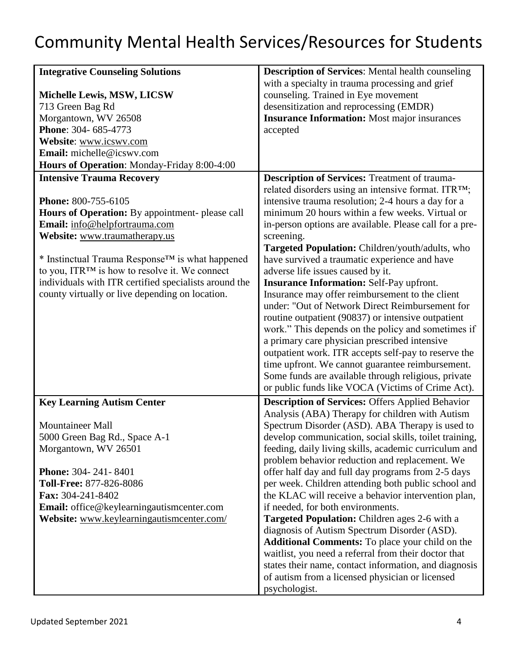| <b>Integrative Counseling Solutions</b>                                                | <b>Description of Services:</b> Mental health counseling                                             |
|----------------------------------------------------------------------------------------|------------------------------------------------------------------------------------------------------|
|                                                                                        | with a specialty in trauma processing and grief                                                      |
| Michelle Lewis, MSW, LICSW                                                             | counseling. Trained in Eye movement                                                                  |
| 713 Green Bag Rd                                                                       | desensitization and reprocessing (EMDR)                                                              |
| Morgantown, WV 26508                                                                   | <b>Insurance Information:</b> Most major insurances                                                  |
| Phone: 304-685-4773                                                                    | accepted                                                                                             |
| Website: www.icswv.com                                                                 |                                                                                                      |
| Email: michelle@icswy.com                                                              |                                                                                                      |
| Hours of Operation: Monday-Friday 8:00-4:00                                            |                                                                                                      |
| <b>Intensive Trauma Recovery</b>                                                       | Description of Services: Treatment of trauma-                                                        |
|                                                                                        | related disorders using an intensive format. ITRTM;                                                  |
| Phone: 800-755-6105                                                                    | intensive trauma resolution; 2-4 hours a day for a                                                   |
| Hours of Operation: By appointment- please call                                        | minimum 20 hours within a few weeks. Virtual or                                                      |
| Email: info@helpfortrauma.com                                                          | in-person options are available. Please call for a pre-                                              |
| Website: www.traumatherapy.us                                                          | screening.                                                                                           |
|                                                                                        | Targeted Population: Children/youth/adults, who                                                      |
| * Instinctual Trauma Response <sup>TM</sup> is what happened                           | have survived a traumatic experience and have                                                        |
| to you, ITR <sup>TM</sup> is how to resolve it. We connect                             | adverse life issues caused by it.                                                                    |
| individuals with ITR certified specialists around the                                  | <b>Insurance Information: Self-Pay upfront.</b>                                                      |
| county virtually or live depending on location.                                        | Insurance may offer reimbursement to the client                                                      |
|                                                                                        | under: "Out of Network Direct Reimbursement for                                                      |
|                                                                                        | routine outpatient (90837) or intensive outpatient                                                   |
|                                                                                        | work." This depends on the policy and sometimes if                                                   |
|                                                                                        | a primary care physician prescribed intensive                                                        |
|                                                                                        | outpatient work. ITR accepts self-pay to reserve the                                                 |
|                                                                                        | time upfront. We cannot guarantee reimbursement.                                                     |
|                                                                                        | Some funds are available through religious, private                                                  |
|                                                                                        | or public funds like VOCA (Victims of Crime Act).                                                    |
| <b>Key Learning Autism Center</b>                                                      | <b>Description of Services: Offers Applied Behavior</b>                                              |
|                                                                                        | Analysis (ABA) Therapy for children with Autism                                                      |
| Mountaineer Mall                                                                       | Spectrum Disorder (ASD). ABA Therapy is used to                                                      |
| 5000 Green Bag Rd., Space A-1                                                          | develop communication, social skills, toilet training,                                               |
| Morgantown, WV 26501                                                                   | feeding, daily living skills, academic curriculum and                                                |
|                                                                                        | problem behavior reduction and replacement. We                                                       |
| <b>Phone: 304-241-8401</b>                                                             | offer half day and full day programs from 2-5 days                                                   |
| Toll-Free: 877-826-8086<br>Fax: 304-241-8402                                           | per week. Children attending both public school and                                                  |
|                                                                                        | the KLAC will receive a behavior intervention plan,                                                  |
| Email: office@keylearningautismcenter.com<br>Website: www.keylearningautismcenter.com/ | if needed, for both environments.                                                                    |
|                                                                                        | <b>Targeted Population:</b> Children ages 2-6 with a<br>diagnosis of Autism Spectrum Disorder (ASD). |
|                                                                                        | <b>Additional Comments:</b> To place your child on the                                               |
|                                                                                        | waitlist, you need a referral from their doctor that                                                 |
|                                                                                        | states their name, contact information, and diagnosis                                                |
|                                                                                        | of autism from a licensed physician or licensed                                                      |
|                                                                                        | psychologist.                                                                                        |
|                                                                                        |                                                                                                      |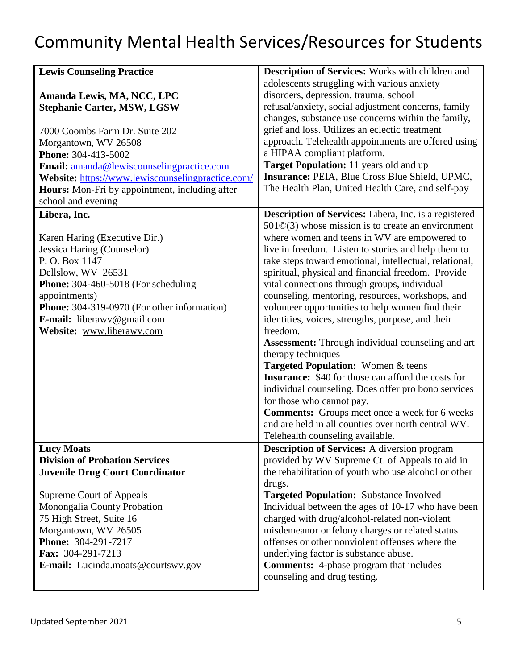| <b>Lewis Counseling Practice</b>                                                                                                                                                                                                                                                                                                   | <b>Description of Services:</b> Works with children and                                                                                                                                                                                                                                                                                                                                                                                                                                                                                                                                                                                                                                                                                                                                                                                                                                                                                                                                                |
|------------------------------------------------------------------------------------------------------------------------------------------------------------------------------------------------------------------------------------------------------------------------------------------------------------------------------------|--------------------------------------------------------------------------------------------------------------------------------------------------------------------------------------------------------------------------------------------------------------------------------------------------------------------------------------------------------------------------------------------------------------------------------------------------------------------------------------------------------------------------------------------------------------------------------------------------------------------------------------------------------------------------------------------------------------------------------------------------------------------------------------------------------------------------------------------------------------------------------------------------------------------------------------------------------------------------------------------------------|
| Amanda Lewis, MA, NCC, LPC<br><b>Stephanie Carter, MSW, LGSW</b><br>7000 Coombs Farm Dr. Suite 202<br>Morgantown, WV 26508<br>Phone: 304-413-5002<br>Email: amanda@lewiscounselingpractice.com<br>Website: https://www.lewiscounselingpractice.com/<br><b>Hours:</b> Mon-Fri by appointment, including after<br>school and evening | adolescents struggling with various anxiety<br>disorders, depression, trauma, school<br>refusal/anxiety, social adjustment concerns, family<br>changes, substance use concerns within the family,<br>grief and loss. Utilizes an eclectic treatment<br>approach. Telehealth appointments are offered using<br>a HIPAA compliant platform.<br>Target Population: 11 years old and up<br>Insurance: PEIA, Blue Cross Blue Shield, UPMC,<br>The Health Plan, United Health Care, and self-pay                                                                                                                                                                                                                                                                                                                                                                                                                                                                                                             |
| Libera, Inc.<br>Karen Haring (Executive Dir.)<br>Jessica Haring (Counselor)<br>P.O. Box 1147<br>Dellslow, WV 26531<br><b>Phone:</b> $304-460-5018$ (For scheduling<br>appointments)<br><b>Phone:</b> 304-319-0970 (For other information)<br>E-mail: liberawy@gmail.com<br>Website: www.liberawv.com                               | <b>Description of Services:</b> Libera, Inc. is a registered<br>$501\text{O}(3)$ whose mission is to create an environment<br>where women and teens in WV are empowered to<br>live in freedom. Listen to stories and help them to<br>take steps toward emotional, intellectual, relational,<br>spiritual, physical and financial freedom. Provide<br>vital connections through groups, individual<br>counseling, mentoring, resources, workshops, and<br>volunteer opportunities to help women find their<br>identities, voices, strengths, purpose, and their<br>freedom.<br><b>Assessment:</b> Through individual counseling and art<br>therapy techniques<br>Targeted Population: Women & teens<br><b>Insurance:</b> \$40 for those can afford the costs for<br>individual counseling. Does offer pro bono services<br>for those who cannot pay.<br><b>Comments:</b> Groups meet once a week for 6 weeks<br>and are held in all counties over north central WV.<br>Telehealth counseling available. |
| <b>Lucy Moats</b><br><b>Division of Probation Services</b><br><b>Juvenile Drug Court Coordinator</b>                                                                                                                                                                                                                               | <b>Description of Services:</b> A diversion program<br>provided by WV Supreme Ct. of Appeals to aid in<br>the rehabilitation of youth who use alcohol or other<br>drugs.                                                                                                                                                                                                                                                                                                                                                                                                                                                                                                                                                                                                                                                                                                                                                                                                                               |
| Supreme Court of Appeals<br>Monongalia County Probation<br>75 High Street, Suite 16<br>Morgantown, WV 26505<br>Phone: 304-291-7217<br>Fax: 304-291-7213<br>E-mail: Lucinda.moats@courtswv.gov                                                                                                                                      | <b>Targeted Population:</b> Substance Involved<br>Individual between the ages of 10-17 who have been<br>charged with drug/alcohol-related non-violent<br>misdemeanor or felony charges or related status<br>offenses or other nonviolent offenses where the<br>underlying factor is substance abuse.<br><b>Comments:</b> 4-phase program that includes<br>counseling and drug testing.                                                                                                                                                                                                                                                                                                                                                                                                                                                                                                                                                                                                                 |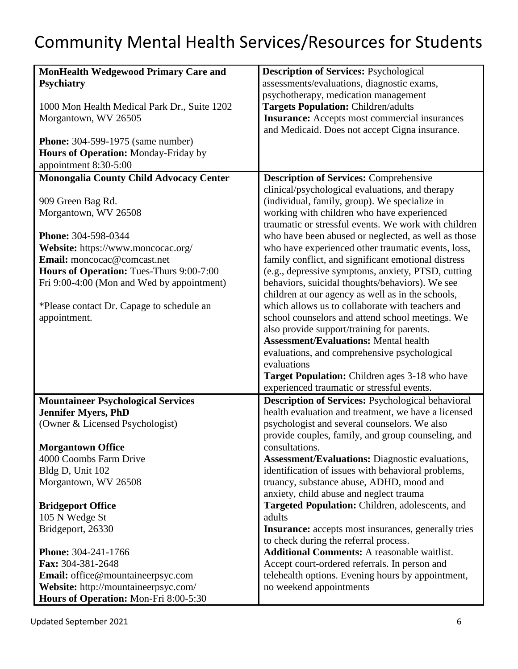| <b>MonHealth Wedgewood Primary Care and</b>    | <b>Description of Services: Psychological</b>              |
|------------------------------------------------|------------------------------------------------------------|
| <b>Psychiatry</b>                              | assessments/evaluations, diagnostic exams,                 |
|                                                | psychotherapy, medication management                       |
| 1000 Mon Health Medical Park Dr., Suite 1202   | <b>Targets Population: Children/adults</b>                 |
| Morgantown, WV 26505                           | <b>Insurance:</b> Accepts most commercial insurances       |
|                                                | and Medicaid. Does not accept Cigna insurance.             |
| <b>Phone:</b> 304-599-1975 (same number)       |                                                            |
| Hours of Operation: Monday-Friday by           |                                                            |
| appointment 8:30-5:00                          |                                                            |
| <b>Monongalia County Child Advocacy Center</b> | <b>Description of Services: Comprehensive</b>              |
|                                                | clinical/psychological evaluations, and therapy            |
| 909 Green Bag Rd.                              | (individual, family, group). We specialize in              |
| Morgantown, WV 26508                           | working with children who have experienced                 |
|                                                | traumatic or stressful events. We work with children       |
| Phone: 304-598-0344                            | who have been abused or neglected, as well as those        |
| Website: https://www.moncocac.org/             | who have experienced other traumatic events, loss,         |
| Email: moncocac@comcast.net                    | family conflict, and significant emotional distress        |
| Hours of Operation: Tues-Thurs 9:00-7:00       | (e.g., depressive symptoms, anxiety, PTSD, cutting         |
| Fri 9:00-4:00 (Mon and Wed by appointment)     | behaviors, suicidal thoughts/behaviors). We see            |
|                                                | children at our agency as well as in the schools,          |
| *Please contact Dr. Capage to schedule an      | which allows us to collaborate with teachers and           |
| appointment.                                   | school counselors and attend school meetings. We           |
|                                                | also provide support/training for parents.                 |
|                                                | <b>Assessment/Evaluations: Mental health</b>               |
|                                                | evaluations, and comprehensive psychological               |
|                                                | evaluations                                                |
|                                                | Target Population: Children ages 3-18 who have             |
|                                                | experienced traumatic or stressful events.                 |
| <b>Mountaineer Psychological Services</b>      | <b>Description of Services: Psychological behavioral</b>   |
| <b>Jennifer Myers, PhD</b>                     | health evaluation and treatment, we have a licensed        |
| (Owner & Licensed Psychologist)                | psychologist and several counselors. We also               |
|                                                | provide couples, family, and group counseling, and         |
| <b>Morgantown Office</b>                       | consultations.                                             |
| 4000 Coombs Farm Drive                         | <b>Assessment/Evaluations:</b> Diagnostic evaluations,     |
| Bldg D, Unit 102                               | identification of issues with behavioral problems,         |
| Morgantown, WV 26508                           | truancy, substance abuse, ADHD, mood and                   |
|                                                | anxiety, child abuse and neglect trauma                    |
| <b>Bridgeport Office</b>                       | Targeted Population: Children, adolescents, and            |
| 105 N Wedge St                                 | adults                                                     |
| Bridgeport, 26330                              | <b>Insurance:</b> accepts most insurances, generally tries |
|                                                | to check during the referral process.                      |
| Phone: 304-241-1766                            | <b>Additional Comments: A reasonable waitlist.</b>         |
| Fax: 304-381-2648                              | Accept court-ordered referrals. In person and              |
| Email: office@mountaineerpsyc.com              | telehealth options. Evening hours by appointment,          |
| Website: http://mountaineerpsyc.com/           | no weekend appointments                                    |
| Hours of Operation: Mon-Fri 8:00-5:30          |                                                            |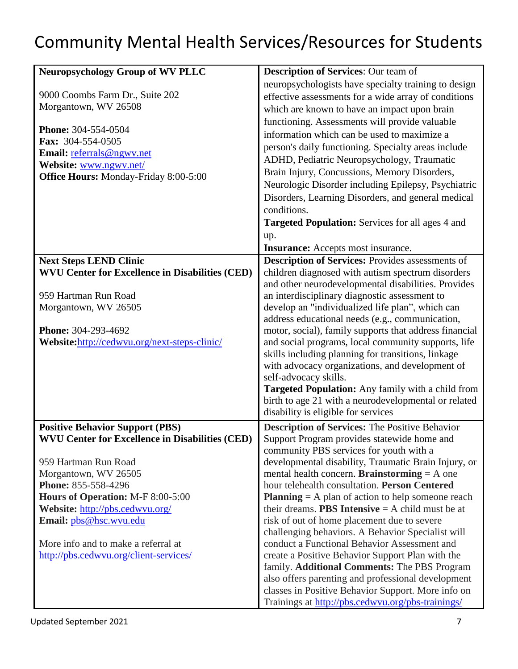| <b>Neuropsychology Group of WV PLLC</b>                                                                                                                                                                                                                                                                                                                    | <b>Description of Services: Our team of</b>                                                                                                                                                                                                                                                                                                                                                                                                                                                                                                                                                                                                                                                                                                                                                                                                                    |
|------------------------------------------------------------------------------------------------------------------------------------------------------------------------------------------------------------------------------------------------------------------------------------------------------------------------------------------------------------|----------------------------------------------------------------------------------------------------------------------------------------------------------------------------------------------------------------------------------------------------------------------------------------------------------------------------------------------------------------------------------------------------------------------------------------------------------------------------------------------------------------------------------------------------------------------------------------------------------------------------------------------------------------------------------------------------------------------------------------------------------------------------------------------------------------------------------------------------------------|
| 9000 Coombs Farm Dr., Suite 202<br>Morgantown, WV 26508<br>Phone: 304-554-0504<br>Fax: 304-554-0505<br>Email: referrals@ngwv.net<br>Website: www.ngwv.net/<br><b>Office Hours: Monday-Friday 8:00-5:00</b>                                                                                                                                                 | neuropsychologists have specialty training to design<br>effective assessments for a wide array of conditions<br>which are known to have an impact upon brain<br>functioning. Assessments will provide valuable<br>information which can be used to maximize a<br>person's daily functioning. Specialty areas include<br>ADHD, Pediatric Neuropsychology, Traumatic<br>Brain Injury, Concussions, Memory Disorders,<br>Neurologic Disorder including Epilepsy, Psychiatric<br>Disorders, Learning Disorders, and general medical<br>conditions.<br><b>Targeted Population:</b> Services for all ages 4 and                                                                                                                                                                                                                                                      |
|                                                                                                                                                                                                                                                                                                                                                            | up.                                                                                                                                                                                                                                                                                                                                                                                                                                                                                                                                                                                                                                                                                                                                                                                                                                                            |
| <b>Next Steps LEND Clinic</b><br><b>WVU Center for Excellence in Disabilities (CED)</b><br>959 Hartman Run Road<br>Morgantown, WV 26505<br>Phone: 304-293-4692<br>Website: http://cedwyu.org/next-steps-clinic/                                                                                                                                            | <b>Insurance:</b> Accepts most insurance.<br><b>Description of Services:</b> Provides assessments of<br>children diagnosed with autism spectrum disorders<br>and other neurodevelopmental disabilities. Provides<br>an interdisciplinary diagnostic assessment to<br>develop an "individualized life plan", which can<br>address educational needs (e.g., communication,<br>motor, social), family supports that address financial<br>and social programs, local community supports, life<br>skills including planning for transitions, linkage<br>with advocacy organizations, and development of<br>self-advocacy skills.<br><b>Targeted Population:</b> Any family with a child from<br>birth to age 21 with a neurodevelopmental or related<br>disability is eligible for services                                                                         |
| <b>Positive Behavior Support (PBS)</b><br><b>WVU Center for Excellence in Disabilities (CED)</b><br>959 Hartman Run Road<br>Morgantown, WV 26505<br>Phone: 855-558-4296<br>Hours of Operation: M-F 8:00-5:00<br>Website: http://pbs.cedwvu.org/<br>Email: pbs@hsc.wvu.edu<br>More info and to make a referral at<br>http://pbs.cedwyu.org/client-services/ | <b>Description of Services: The Positive Behavior</b><br>Support Program provides statewide home and<br>community PBS services for youth with a<br>developmental disability, Traumatic Brain Injury, or<br>mental health concern. Brainstorming $=$ A one<br>hour telehealth consultation. Person Centered<br><b>Planning</b> $=$ A plan of action to help someone reach<br>their dreams. <b>PBS Intensive</b> $=$ A child must be at<br>risk of out of home placement due to severe<br>challenging behaviors. A Behavior Specialist will<br>conduct a Functional Behavior Assessment and<br>create a Positive Behavior Support Plan with the<br>family. Additional Comments: The PBS Program<br>also offers parenting and professional development<br>classes in Positive Behavior Support. More info on<br>Trainings at http://pbs.cedwyu.org/pbs-trainings/ |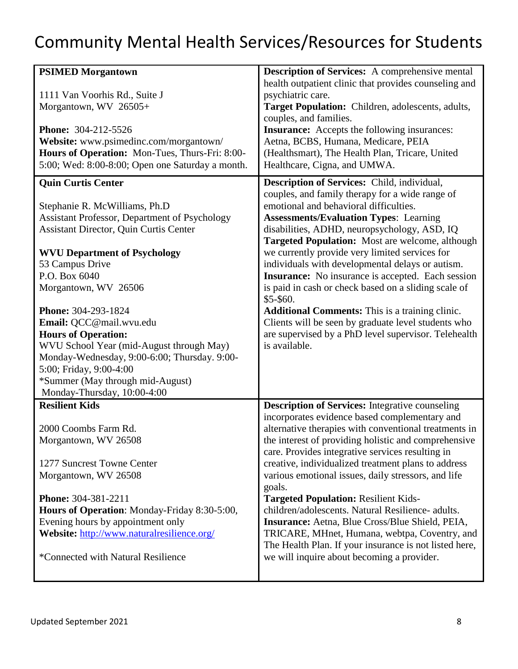| <b>PSIMED Morgantown</b><br>1111 Van Voorhis Rd., Suite J<br>Morgantown, WV 26505+<br><b>Phone: 304-212-5526</b><br>Website: www.psimedinc.com/morgantown/<br>Hours of Operation: Mon-Tues, Thurs-Fri: 8:00-<br>5:00; Wed: 8:00-8:00; Open one Saturday a month.                                                                                                                                                                                                                                                                          | <b>Description of Services:</b> A comprehensive mental<br>health outpatient clinic that provides counseling and<br>psychiatric care.<br>Target Population: Children, adolescents, adults,<br>couples, and families.<br><b>Insurance:</b> Accepts the following insurances:<br>Aetna, BCBS, Humana, Medicare, PEIA<br>(Healthsmart), The Health Plan, Tricare, United<br>Healthcare, Cigna, and UMWA.                                                                                                                                                                                                                                                                                                                                 |
|-------------------------------------------------------------------------------------------------------------------------------------------------------------------------------------------------------------------------------------------------------------------------------------------------------------------------------------------------------------------------------------------------------------------------------------------------------------------------------------------------------------------------------------------|--------------------------------------------------------------------------------------------------------------------------------------------------------------------------------------------------------------------------------------------------------------------------------------------------------------------------------------------------------------------------------------------------------------------------------------------------------------------------------------------------------------------------------------------------------------------------------------------------------------------------------------------------------------------------------------------------------------------------------------|
| <b>Quin Curtis Center</b><br>Stephanie R. McWilliams, Ph.D<br>Assistant Professor, Department of Psychology<br><b>Assistant Director, Quin Curtis Center</b><br><b>WVU Department of Psychology</b><br>53 Campus Drive<br>P.O. Box 6040<br>Morgantown, WV 26506<br>Phone: 304-293-1824<br>Email: QCC@mail.wvu.edu<br><b>Hours of Operation:</b><br>WVU School Year (mid-August through May)<br>Monday-Wednesday, 9:00-6:00; Thursday. 9:00-<br>5:00; Friday, 9:00-4:00<br>*Summer (May through mid-August)<br>Monday-Thursday, 10:00-4:00 | Description of Services: Child, individual,<br>couples, and family therapy for a wide range of<br>emotional and behavioral difficulties.<br><b>Assessments/Evaluation Types: Learning</b><br>disabilities, ADHD, neuropsychology, ASD, IQ<br><b>Targeted Population:</b> Most are welcome, although<br>we currently provide very limited services for<br>individuals with developmental delays or autism.<br><b>Insurance:</b> No insurance is accepted. Each session<br>is paid in cash or check based on a sliding scale of<br>\$5-\$60.<br><b>Additional Comments:</b> This is a training clinic.<br>Clients will be seen by graduate level students who<br>are supervised by a PhD level supervisor. Telehealth<br>is available. |
| <b>Resilient Kids</b><br>2000 Coombs Farm Rd.<br>Morgantown, WV 26508<br>1277 Suncrest Towne Center<br>Morgantown, WV 26508<br>Phone: 304-381-2211<br>Hours of Operation: Monday-Friday 8:30-5:00,<br>Evening hours by appointment only<br>Website: http://www.naturalresilience.org/<br>*Connected with Natural Resilience                                                                                                                                                                                                               | <b>Description of Services:</b> Integrative counseling<br>incorporates evidence based complementary and<br>alternative therapies with conventional treatments in<br>the interest of providing holistic and comprehensive<br>care. Provides integrative services resulting in<br>creative, individualized treatment plans to address<br>various emotional issues, daily stressors, and life<br>goals.<br><b>Targeted Population: Resilient Kids-</b><br>children/adolescents. Natural Resilience- adults.<br>Insurance: Aetna, Blue Cross/Blue Shield, PEIA,<br>TRICARE, MHnet, Humana, webtpa, Coventry, and<br>The Health Plan. If your insurance is not listed here,<br>we will inquire about becoming a provider.                 |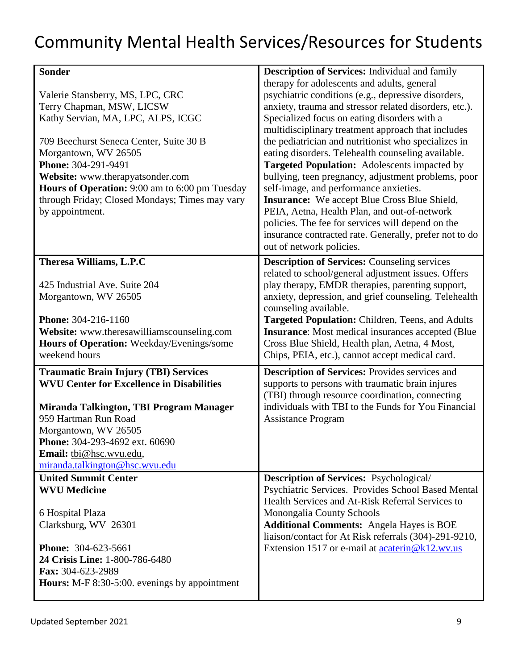| <b>Sonder</b>                                                                                                                                                                                                                                                                                                                                            | <b>Description of Services:</b> Individual and family                                                                                                                                                                                                                                                                                                                                                                                                                                                                                                                                                                                                                                                                                                                                      |
|----------------------------------------------------------------------------------------------------------------------------------------------------------------------------------------------------------------------------------------------------------------------------------------------------------------------------------------------------------|--------------------------------------------------------------------------------------------------------------------------------------------------------------------------------------------------------------------------------------------------------------------------------------------------------------------------------------------------------------------------------------------------------------------------------------------------------------------------------------------------------------------------------------------------------------------------------------------------------------------------------------------------------------------------------------------------------------------------------------------------------------------------------------------|
| Valerie Stansberry, MS, LPC, CRC<br>Terry Chapman, MSW, LICSW<br>Kathy Servian, MA, LPC, ALPS, ICGC<br>709 Beechurst Seneca Center, Suite 30 B<br>Morgantown, WV 26505<br>Phone: 304-291-9491<br>Website: www.therapyatsonder.com<br>Hours of Operation: 9:00 am to 6:00 pm Tuesday<br>through Friday; Closed Mondays; Times may vary<br>by appointment. | therapy for adolescents and adults, general<br>psychiatric conditions (e.g., depressive disorders,<br>anxiety, trauma and stressor related disorders, etc.).<br>Specialized focus on eating disorders with a<br>multidisciplinary treatment approach that includes<br>the pediatrician and nutritionist who specializes in<br>eating disorders. Telehealth counseling available.<br><b>Targeted Population:</b> Adolescents impacted by<br>bullying, teen pregnancy, adjustment problems, poor<br>self-image, and performance anxieties.<br><b>Insurance:</b> We accept Blue Cross Blue Shield,<br>PEIA, Aetna, Health Plan, and out-of-network<br>policies. The fee for services will depend on the<br>insurance contracted rate. Generally, prefer not to do<br>out of network policies. |
| Theresa Williams, L.P.C                                                                                                                                                                                                                                                                                                                                  | <b>Description of Services: Counseling services</b>                                                                                                                                                                                                                                                                                                                                                                                                                                                                                                                                                                                                                                                                                                                                        |
| 425 Industrial Ave. Suite 204<br>Morgantown, WV 26505<br><b>Phone:</b> 304-216-1160<br>Website: www.theresawilliamscounseling.com<br>Hours of Operation: Weekday/Evenings/some<br>weekend hours                                                                                                                                                          | related to school/general adjustment issues. Offers<br>play therapy, EMDR therapies, parenting support,<br>anxiety, depression, and grief counseling. Telehealth<br>counseling available.<br>Targeted Population: Children, Teens, and Adults<br><b>Insurance:</b> Most medical insurances accepted (Blue)<br>Cross Blue Shield, Health plan, Aetna, 4 Most,<br>Chips, PEIA, etc.), cannot accept medical card.                                                                                                                                                                                                                                                                                                                                                                            |
| <b>Traumatic Brain Injury (TBI) Services</b>                                                                                                                                                                                                                                                                                                             | <b>Description of Services: Provides services and</b>                                                                                                                                                                                                                                                                                                                                                                                                                                                                                                                                                                                                                                                                                                                                      |
| <b>WVU Center for Excellence in Disabilities</b><br>Miranda Talkington, TBI Program Manager<br>959 Hartman Run Road<br>Morgantown, WV 26505<br>Phone: 304-293-4692 ext. 60690<br>Email: thi@hsc.wvu.edu,<br>miranda.talkington@hsc.wvu.edu                                                                                                               | supports to persons with traumatic brain injures<br>(TBI) through resource coordination, connecting<br>individuals with TBI to the Funds for You Financial<br><b>Assistance Program</b>                                                                                                                                                                                                                                                                                                                                                                                                                                                                                                                                                                                                    |
| <b>United Summit Center</b>                                                                                                                                                                                                                                                                                                                              | <b>Description of Services:</b> Psychological/                                                                                                                                                                                                                                                                                                                                                                                                                                                                                                                                                                                                                                                                                                                                             |
| <b>WVU Medicine</b><br>6 Hospital Plaza                                                                                                                                                                                                                                                                                                                  | Psychiatric Services. Provides School Based Mental<br>Health Services and At-Risk Referral Services to<br>Monongalia County Schools                                                                                                                                                                                                                                                                                                                                                                                                                                                                                                                                                                                                                                                        |
| Clarksburg, WV 26301                                                                                                                                                                                                                                                                                                                                     | <b>Additional Comments:</b> Angela Hayes is BOE                                                                                                                                                                                                                                                                                                                                                                                                                                                                                                                                                                                                                                                                                                                                            |
| <b>Phone: 304-623-5661</b><br>24 Crisis Line: 1-800-786-6480<br>Fax: 304-623-2989<br><b>Hours:</b> M-F 8:30-5:00. evenings by appointment                                                                                                                                                                                                                | liaison/contact for At Risk referrals (304)-291-9210,<br>Extension 1517 or e-mail at <b>acaterin@k12.wv.us</b>                                                                                                                                                                                                                                                                                                                                                                                                                                                                                                                                                                                                                                                                             |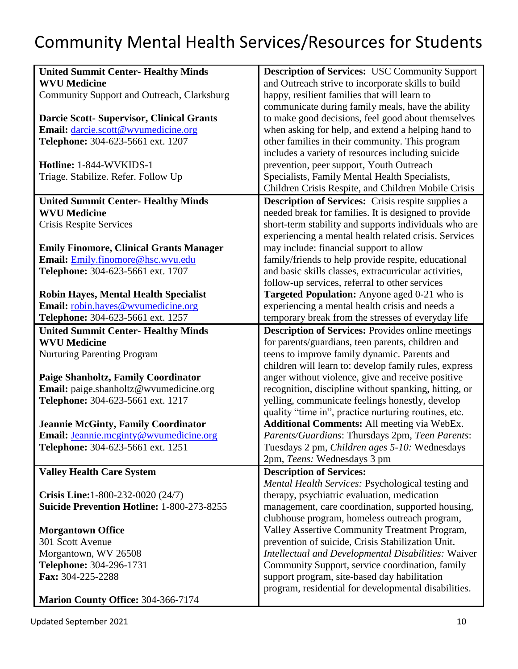| <b>United Summit Center- Healthy Minds</b>        | <b>Description of Services: USC Community Support</b>     |
|---------------------------------------------------|-----------------------------------------------------------|
| <b>WVU Medicine</b>                               | and Outreach strive to incorporate skills to build        |
| Community Support and Outreach, Clarksburg        | happy, resilient families that will learn to              |
|                                                   | communicate during family meals, have the ability         |
| <b>Darcie Scott- Supervisor, Clinical Grants</b>  | to make good decisions, feel good about themselves        |
| Email: darcie.scott@wvumedicine.org               | when asking for help, and extend a helping hand to        |
| Telephone: 304-623-5661 ext. 1207                 | other families in their community. This program           |
|                                                   | includes a variety of resources including suicide         |
|                                                   |                                                           |
| Hotline: 1-844-WVKIDS-1                           | prevention, peer support, Youth Outreach                  |
| Triage. Stabilize. Refer. Follow Up               | Specialists, Family Mental Health Specialists,            |
|                                                   | Children Crisis Respite, and Children Mobile Crisis       |
| <b>United Summit Center- Healthy Minds</b>        | <b>Description of Services:</b> Crisis respite supplies a |
| <b>WVU Medicine</b>                               | needed break for families. It is designed to provide      |
| Crisis Respite Services                           | short-term stability and supports individuals who are     |
|                                                   | experiencing a mental health related crisis. Services     |
|                                                   |                                                           |
| <b>Emily Finomore, Clinical Grants Manager</b>    | may include: financial support to allow                   |
| Email: Emily.finomore@hsc.wvu.edu                 | family/friends to help provide respite, educational       |
| Telephone: 304-623-5661 ext. 1707                 | and basic skills classes, extracurricular activities,     |
|                                                   | follow-up services, referral to other services            |
| <b>Robin Hayes, Mental Health Specialist</b>      | Targeted Population: Anyone aged 0-21 who is              |
| Email: robin.hayes@wvumedicine.org                | experiencing a mental health crisis and needs a           |
| Telephone: 304-623-5661 ext. 1257                 | temporary break from the stresses of everyday life        |
| <b>United Summit Center- Healthy Minds</b>        | <b>Description of Services:</b> Provides online meetings  |
| <b>WVU Medicine</b>                               | for parents/guardians, teen parents, children and         |
|                                                   | teens to improve family dynamic. Parents and              |
| <b>Nurturing Parenting Program</b>                |                                                           |
|                                                   | children will learn to: develop family rules, express     |
| <b>Paige Shanholtz, Family Coordinator</b>        | anger without violence, give and receive positive         |
| Email: paige.shanholtz@wvumedicine.org            | recognition, discipline without spanking, hitting, or     |
| Telephone: 304-623-5661 ext. 1217                 | yelling, communicate feelings honestly, develop           |
|                                                   | quality "time in", practice nurturing routines, etc.      |
| <b>Jeannie McGinty, Family Coordinator</b>        | <b>Additional Comments: All meeting via WebEx.</b>        |
| <b>Email:</b> Jeannie.mcginty@wvumedicine.org     | Parents/Guardians: Thursdays 2pm, Teen Parents:           |
| Telephone: 304-623-5661 ext. 1251                 | Tuesdays 2 pm, Children ages 5-10: Wednesdays             |
|                                                   | 2pm, Teens: Wednesdays 3 pm                               |
|                                                   |                                                           |
| <b>Valley Health Care System</b>                  | <b>Description of Services:</b>                           |
|                                                   | Mental Health Services: Psychological testing and         |
| <b>Crisis Line:</b> 1-800-232-0020 (24/7)         | therapy, psychiatric evaluation, medication               |
| <b>Suicide Prevention Hotline: 1-800-273-8255</b> | management, care coordination, supported housing,         |
|                                                   | clubhouse program, homeless outreach program,             |
| <b>Morgantown Office</b>                          | Valley Assertive Community Treatment Program,             |
| 301 Scott Avenue                                  | prevention of suicide, Crisis Stabilization Unit.         |
| Morgantown, WV 26508                              | Intellectual and Developmental Disabilities: Waiver       |
|                                                   |                                                           |
| Telephone: 304-296-1731                           | Community Support, service coordination, family           |
| Fax: 304-225-2288                                 | support program, site-based day habilitation              |
|                                                   | program, residential for developmental disabilities.      |
| Marion County Office: 304-366-7174                |                                                           |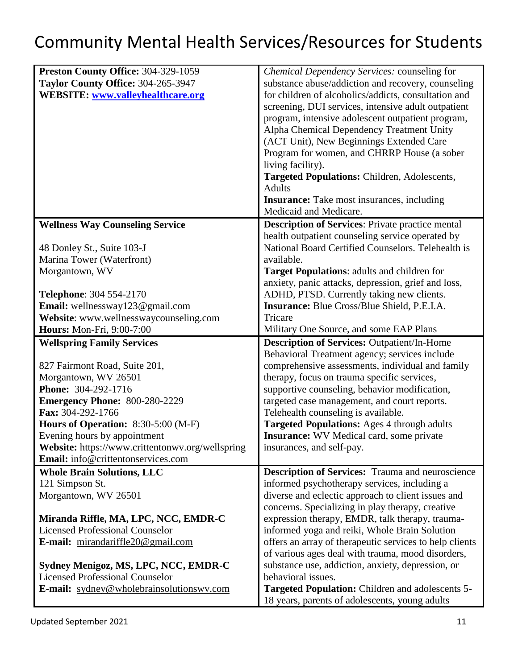| Preston County Office: 304-329-1059                                                    | Chemical Dependency Services: counseling for                                                              |
|----------------------------------------------------------------------------------------|-----------------------------------------------------------------------------------------------------------|
| Taylor County Office: 304-265-3947                                                     | substance abuse/addiction and recovery, counseling                                                        |
| <b>WEBSITE:</b> www.valleyhealthcare.org                                               | for children of alcoholics/addicts, consultation and                                                      |
|                                                                                        | screening, DUI services, intensive adult outpatient                                                       |
|                                                                                        | program, intensive adolescent outpatient program,                                                         |
|                                                                                        | Alpha Chemical Dependency Treatment Unity                                                                 |
|                                                                                        | (ACT Unit), New Beginnings Extended Care                                                                  |
|                                                                                        | Program for women, and CHRRP House (a sober                                                               |
|                                                                                        | living facility).                                                                                         |
|                                                                                        | Targeted Populations: Children, Adolescents,                                                              |
|                                                                                        | <b>Adults</b>                                                                                             |
|                                                                                        | <b>Insurance:</b> Take most insurances, including                                                         |
|                                                                                        | Medicaid and Medicare.                                                                                    |
| <b>Wellness Way Counseling Service</b>                                                 | <b>Description of Services: Private practice mental</b>                                                   |
|                                                                                        | health outpatient counseling service operated by                                                          |
| 48 Donley St., Suite 103-J                                                             | National Board Certified Counselors. Telehealth is                                                        |
|                                                                                        | available.                                                                                                |
| Marina Tower (Waterfront)                                                              |                                                                                                           |
| Morgantown, WV                                                                         | Target Populations: adults and children for                                                               |
|                                                                                        | anxiety, panic attacks, depression, grief and loss,                                                       |
| Telephone: 304 554-2170                                                                | ADHD, PTSD. Currently taking new clients.                                                                 |
| Email: wellnessway123@gmail.com                                                        | <b>Insurance:</b> Blue Cross/Blue Shield, P.E.I.A.                                                        |
| Website: www.wellnesswaycounseling.com                                                 | Tricare                                                                                                   |
| Hours: Mon-Fri, 9:00-7:00                                                              | Military One Source, and some EAP Plans                                                                   |
|                                                                                        |                                                                                                           |
| <b>Wellspring Family Services</b>                                                      | <b>Description of Services: Outpatient/In-Home</b>                                                        |
|                                                                                        | Behavioral Treatment agency; services include                                                             |
| 827 Fairmont Road, Suite 201,                                                          | comprehensive assessments, individual and family                                                          |
| Morgantown, WV 26501                                                                   | therapy, focus on trauma specific services,                                                               |
| Phone: 304-292-1716                                                                    |                                                                                                           |
|                                                                                        | supportive counseling, behavior modification,                                                             |
| <b>Emergency Phone: 800-280-2229</b><br>Fax: 304-292-1766                              | targeted case management, and court reports.                                                              |
|                                                                                        | Telehealth counseling is available.<br><b>Targeted Populations:</b> Ages 4 through adults                 |
| Hours of Operation: 8:30-5:00 (M-F)<br>Evening hours by appointment                    | <b>Insurance:</b> WV Medical card, some private                                                           |
|                                                                                        | insurances, and self-pay.                                                                                 |
| Website: https://www.crittentonwv.org/wellspring<br>Email: info@crittentonservices.com |                                                                                                           |
|                                                                                        |                                                                                                           |
| <b>Whole Brain Solutions, LLC</b>                                                      | <b>Description of Services:</b> Trauma and neuroscience                                                   |
| 121 Simpson St.                                                                        | informed psychotherapy services, including a                                                              |
| Morgantown, WV 26501                                                                   | diverse and eclectic approach to client issues and                                                        |
|                                                                                        | concerns. Specializing in play therapy, creative                                                          |
| Miranda Riffle, MA, LPC, NCC, EMDR-C                                                   | expression therapy, EMDR, talk therapy, trauma-                                                           |
| <b>Licensed Professional Counselor</b>                                                 | informed yoga and reiki, Whole Brain Solution                                                             |
| E-mail: mirandariffle20@gmail.com                                                      | offers an array of therapeutic services to help clients                                                   |
|                                                                                        | of various ages deal with trauma, mood disorders,                                                         |
| Sydney Menigoz, MS, LPC, NCC, EMDR-C                                                   | substance use, addiction, anxiety, depression, or                                                         |
| <b>Licensed Professional Counselor</b>                                                 | behavioral issues.                                                                                        |
| E-mail: sydney@wholebrainsolutionswy.com                                               | <b>Targeted Population:</b> Children and adolescents 5-<br>18 years, parents of adolescents, young adults |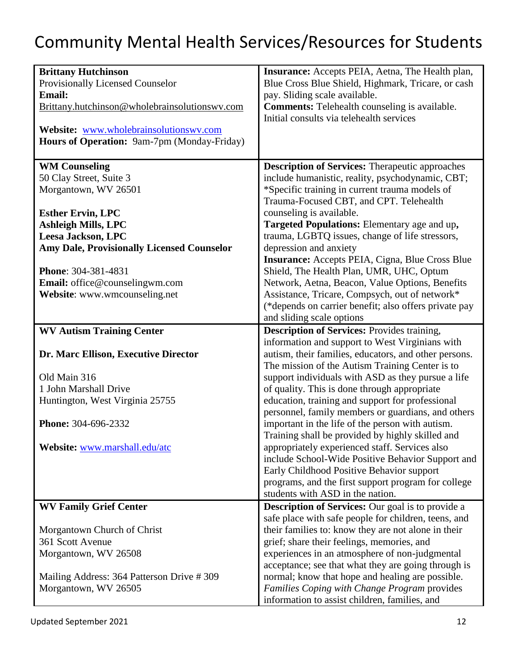| <b>Brittany Hutchinson</b>                        | Insurance: Accepts PEIA, Aetna, The Health plan,         |
|---------------------------------------------------|----------------------------------------------------------|
| Provisionally Licensed Counselor                  | Blue Cross Blue Shield, Highmark, Tricare, or cash       |
| <b>Email:</b>                                     | pay. Sliding scale available.                            |
| Brittany.hutchinson@wholebrainsolutionswy.com     | <b>Comments:</b> Telehealth counseling is available.     |
|                                                   | Initial consults via telehealth services                 |
| Website: www.wholebrainsolutionswy.com            |                                                          |
| Hours of Operation: 9am-7pm (Monday-Friday)       |                                                          |
|                                                   |                                                          |
| <b>WM Counseling</b>                              | <b>Description of Services:</b> Therapeutic approaches   |
| 50 Clay Street, Suite 3                           | include humanistic, reality, psychodynamic, CBT;         |
| Morgantown, WV 26501                              | *Specific training in current trauma models of           |
|                                                   |                                                          |
|                                                   | Trauma-Focused CBT, and CPT. Telehealth                  |
| <b>Esther Ervin, LPC</b>                          | counseling is available.                                 |
| <b>Ashleigh Mills, LPC</b>                        | Targeted Populations: Elementary age and up,             |
| Leesa Jackson, LPC                                | trauma, LGBTQ issues, change of life stressors,          |
| <b>Amy Dale, Provisionally Licensed Counselor</b> | depression and anxiety                                   |
|                                                   | Insurance: Accepts PEIA, Cigna, Blue Cross Blue          |
| Phone: 304-381-4831                               | Shield, The Health Plan, UMR, UHC, Optum                 |
| Email: office@counselingwm.com                    | Network, Aetna, Beacon, Value Options, Benefits          |
| Website: www.wmcounseling.net                     | Assistance, Tricare, Compsych, out of network*           |
|                                                   |                                                          |
|                                                   | (*depends on carrier benefit; also offers private pay    |
|                                                   | and sliding scale options                                |
| <b>WV Autism Training Center</b>                  | <b>Description of Services: Provides training,</b>       |
|                                                   | information and support to West Virginians with          |
| Dr. Marc Ellison, Executive Director              | autism, their families, educators, and other persons.    |
|                                                   | The mission of the Autism Training Center is to          |
| Old Main 316                                      | support individuals with ASD as they pursue a life       |
| 1 John Marshall Drive                             | of quality. This is done through appropriate             |
|                                                   |                                                          |
| Huntington, West Virginia 25755                   | education, training and support for professional         |
|                                                   | personnel, family members or guardians, and others       |
| Phone: 304-696-2332                               | important in the life of the person with autism.         |
|                                                   | Training shall be provided by highly skilled and         |
| Website: www.marshall.edu/atc                     | appropriately experienced staff. Services also           |
|                                                   | include School-Wide Positive Behavior Support and        |
|                                                   | Early Childhood Positive Behavior support                |
|                                                   | programs, and the first support program for college      |
|                                                   | students with ASD in the nation.                         |
|                                                   |                                                          |
| <b>WV Family Grief Center</b>                     | <b>Description of Services:</b> Our goal is to provide a |
|                                                   | safe place with safe people for children, teens, and     |
| Morgantown Church of Christ                       | their families to: know they are not alone in their      |
| 361 Scott Avenue                                  | grief; share their feelings, memories, and               |
| Morgantown, WV 26508                              | experiences in an atmosphere of non-judgmental           |
|                                                   | acceptance; see that what they are going through is      |
| Mailing Address: 364 Patterson Drive #309         | normal; know that hope and healing are possible.         |
| Morgantown, WV 26505                              | Families Coping with Change Program provides             |
|                                                   | information to assist children, families, and            |
|                                                   |                                                          |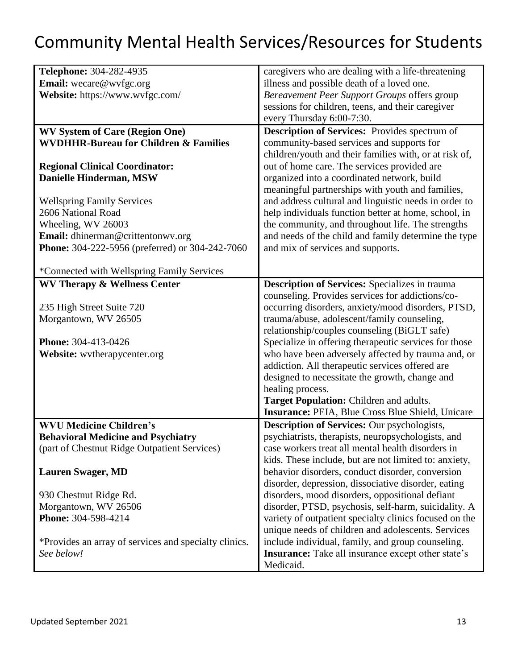| Telephone: 304-282-4935                                | caregivers who are dealing with a life-threatening        |
|--------------------------------------------------------|-----------------------------------------------------------|
| <b>Email:</b> wecare@wvfgc.org                         | illness and possible death of a loved one.                |
| Website: https://www.wvfgc.com/                        | Bereavement Peer Support Groups offers group              |
|                                                        | sessions for children, teens, and their caregiver         |
|                                                        | every Thursday 6:00-7:30.                                 |
| <b>WV System of Care (Region One)</b>                  | <b>Description of Services:</b> Provides spectrum of      |
| <b>WVDHHR-Bureau for Children &amp; Families</b>       | community-based services and supports for                 |
|                                                        | children/youth and their families with, or at risk of,    |
| <b>Regional Clinical Coordinator:</b>                  | out of home care. The services provided are               |
| Danielle Hinderman, MSW                                | organized into a coordinated network, build               |
|                                                        |                                                           |
|                                                        | meaningful partnerships with youth and families,          |
| <b>Wellspring Family Services</b>                      | and address cultural and linguistic needs in order to     |
| 2606 National Road                                     | help individuals function better at home, school, in      |
| Wheeling, WV 26003                                     | the community, and throughout life. The strengths         |
| Email: dhinerman@crittentonwv.org                      | and needs of the child and family determine the type      |
| <b>Phone:</b> 304-222-5956 (preferred) or 304-242-7060 | and mix of services and supports.                         |
|                                                        |                                                           |
| *Connected with Wellspring Family Services             |                                                           |
| <b>WV Therapy &amp; Wellness Center</b>                | <b>Description of Services:</b> Specializes in trauma     |
|                                                        | counseling. Provides services for addictions/co-          |
| 235 High Street Suite 720                              | occurring disorders, anxiety/mood disorders, PTSD,        |
| Morgantown, WV 26505                                   | trauma/abuse, adolescent/family counseling,               |
|                                                        | relationship/couples counseling (BiGLT safe)              |
| <b>Phone: 304-413-0426</b>                             | Specialize in offering therapeutic services for those     |
| Website: wvtherapycenter.org                           | who have been adversely affected by trauma and, or        |
|                                                        | addiction. All therapeutic services offered are           |
|                                                        | designed to necessitate the growth, change and            |
|                                                        | healing process.                                          |
|                                                        | Target Population: Children and adults.                   |
|                                                        | <b>Insurance: PEIA, Blue Cross Blue Shield, Unicare</b>   |
| <b>WVU Medicine Children's</b>                         | Description of Services: Our psychologists,               |
| <b>Behavioral Medicine and Psychiatry</b>              | psychiatrists, therapists, neuropsychologists, and        |
| (part of Chestnut Ridge Outpatient Services)           | case workers treat all mental health disorders in         |
|                                                        | kids. These include, but are not limited to: anxiety,     |
| <b>Lauren Swager, MD</b>                               | behavior disorders, conduct disorder, conversion          |
|                                                        | disorder, depression, dissociative disorder, eating       |
| 930 Chestnut Ridge Rd.                                 | disorders, mood disorders, oppositional defiant           |
| Morgantown, WV 26506                                   | disorder, PTSD, psychosis, self-harm, suicidality. A      |
| Phone: 304-598-4214                                    |                                                           |
|                                                        | variety of outpatient specialty clinics focused on the    |
|                                                        | unique needs of children and adolescents. Services        |
| *Provides an array of services and specialty clinics.  | include individual, family, and group counseling.         |
| See below!                                             | <b>Insurance:</b> Take all insurance except other state's |
|                                                        | Medicaid.                                                 |